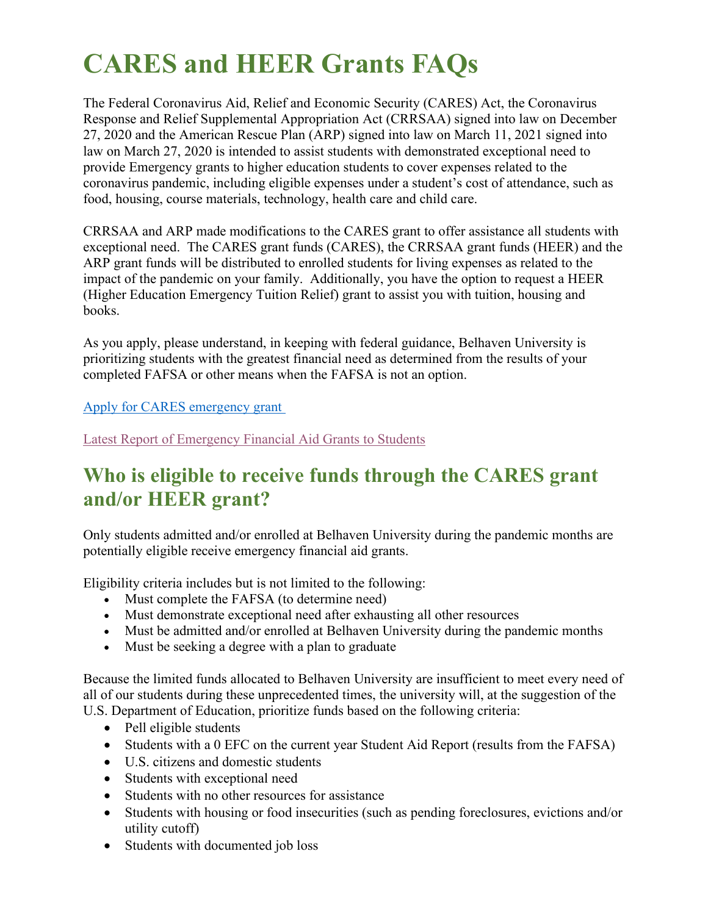# **CARES and HEER Grants FAQs**

The Federal Coronavirus Aid, Relief and Economic Security (CARES) Act, the Coronavirus Response and Relief Supplemental Appropriation Act (CRRSAA) signed into law on December 27, 2020 and the American Rescue Plan (ARP) signed into law on March 11, 2021 signed into law on March 27, 2020 is intended to assist students with demonstrated exceptional need to provide Emergency grants to higher education students to cover expenses related to the coronavirus pandemic, including eligible expenses under a student's cost of attendance, such as food, housing, course materials, technology, health care and child care.

CRRSAA and ARP made modifications to the CARES grant to offer assistance all students with exceptional need. The CARES grant funds (CARES), the CRRSAA grant funds (HEER) and the ARP grant funds will be distributed to enrolled students for living expenses as related to the impact of the pandemic on your family. Additionally, you have the option to request a HEER (Higher Education Emergency Tuition Relief) grant to assist you with tuition, housing and books.

As you apply, please understand, in keeping with federal guidance, Belhaven University is prioritizing students with the greatest financial need as determined from the results of your completed FAFSA or other means when the FAFSA is not an option.

[Apply for CARES emergency grant](https://blazenet.belhaven.edu/financials/fa/_layouts/15/FormServer.aspx?XsnLocation=https://blazenet.belhaven.edu/financials/fa/Income%20Reevaluation/Forms/template.xsn&OpenIn=browser&SaveLocation=https://blazenet.belhaven.edu/financials/fa/Income%20Reevaluation&Source=https://blazenet.belhaven.edu/financials/fa/Income%20Reevaluation)

[Latest Report of Emergency Financial Aid Grants to](https://www.belhaven.edu/) Students

# **Who is eligible to receive funds through the CARES grant and/or HEER grant?**

Only students admitted and/or enrolled at Belhaven University during the pandemic months are potentially eligible receive emergency financial aid grants.

Eligibility criteria includes but is not limited to the following:

- Must complete the FAFSA (to determine need)
- Must demonstrate exceptional need after exhausting all other resources
- Must be admitted and/or enrolled at Belhaven University during the pandemic months
- Must be seeking a degree with a plan to graduate

Because the limited funds allocated to Belhaven University are insufficient to meet every need of all of our students during these unprecedented times, the university will, at the suggestion of the U.S. Department of Education, prioritize funds based on the following criteria:

- Pell eligible students
- Students with a 0 EFC on the current year Student Aid Report (results from the FAFSA)
- U.S. citizens and domestic students
- Students with exceptional need
- Students with no other resources for assistance
- Students with housing or food insecurities (such as pending foreclosures, evictions and/or utility cutoff)
- Students with documented job loss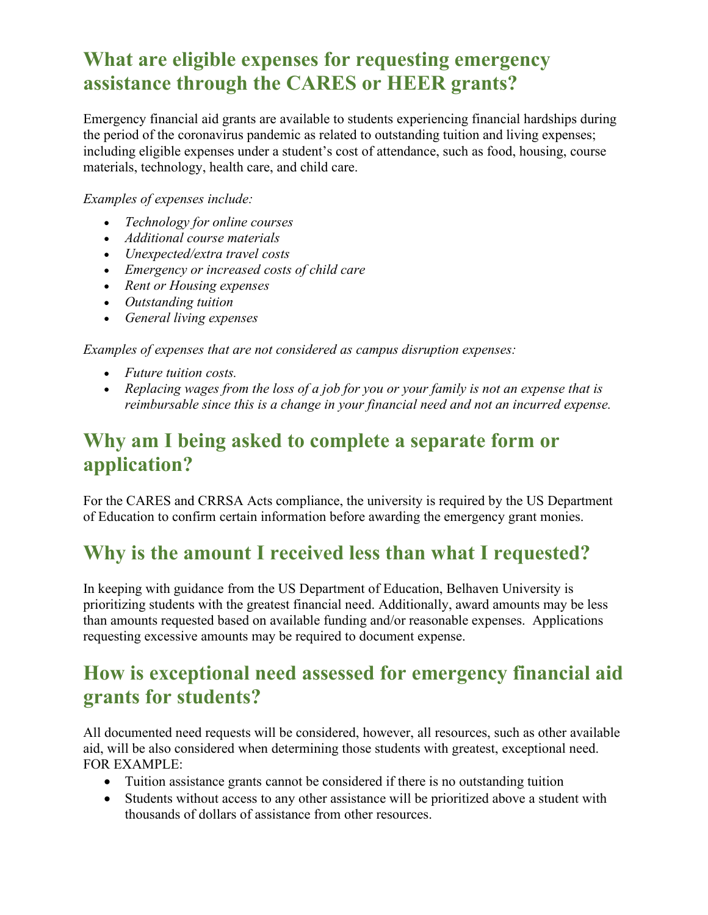## **What are eligible expenses for requesting emergency assistance through the CARES or HEER grants?**

Emergency financial aid grants are available to students experiencing financial hardships during the period of the coronavirus pandemic as related to outstanding tuition and living expenses; including eligible expenses under a student's cost of attendance, such as food, housing, course materials, technology, health care, and child care.

#### *Examples of expenses include:*

- *Technology for online courses*
- *Additional course materials*
- *Unexpected/extra travel costs*
- *Emergency or increased costs of child care*
- *Rent or Housing expenses*
- *Outstanding tuition*
- *General living expenses*

*Examples of expenses that are not considered as campus disruption expenses:*

- *Future tuition costs.*
- *Replacing wages from the loss of a job for you or your family is not an expense that is reimbursable since this is a change in your financial need and not an incurred expense.*

#### **Why am I being asked to complete a separate form or application?**

For the CARES and CRRSA Acts compliance, the university is required by the US Department of Education to confirm certain information before awarding the emergency grant monies.

### **Why is the amount I received less than what I requested?**

In keeping with guidance from the US Department of Education, Belhaven University is prioritizing students with the greatest financial need. Additionally, award amounts may be less than amounts requested based on available funding and/or reasonable expenses. Applications requesting excessive amounts may be required to document expense.

### **How is exceptional need assessed for emergency financial aid grants for students?**

All documented need requests will be considered, however, all resources, such as other available aid, will be also considered when determining those students with greatest, exceptional need. FOR EXAMPLE:

- Tuition assistance grants cannot be considered if there is no outstanding tuition
- Students without access to any other assistance will be prioritized above a student with thousands of dollars of assistance from other resources.